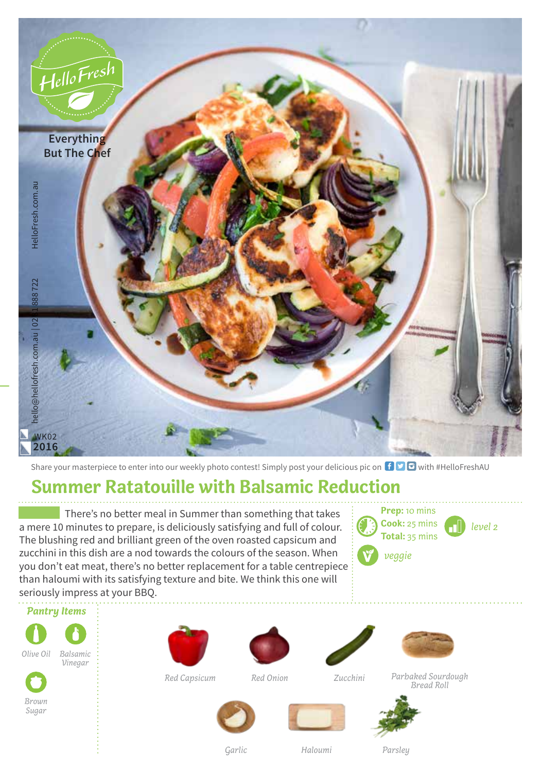

Share your masterpiece to enter into our weekly photo contest! Simply post your delicious pic on  $\bigoplus$   $\bigodot$  with #HelloFreshAU

## **Summer Ratatouille with Balsamic Reduction**

There's no better meal in Summer than something that takes a mere 10 minutes to prepare, is deliciously satisfying and full of colour. The blushing red and brilliant green of the oven roasted capsicum and zucchini in this dish are a nod towards the colours of the season. When you don't eat meat, there's no better replacement for a table centrepiece than haloumi with its satisfying texture and bite. We think this one will seriously impress at your BBQ.



*Pantry Items*







*Red Capsicum* 





*Red Onion Zucchini Parbaked Sourdough Bread Roll*





*Parsley*

*Garlic Haloumi*